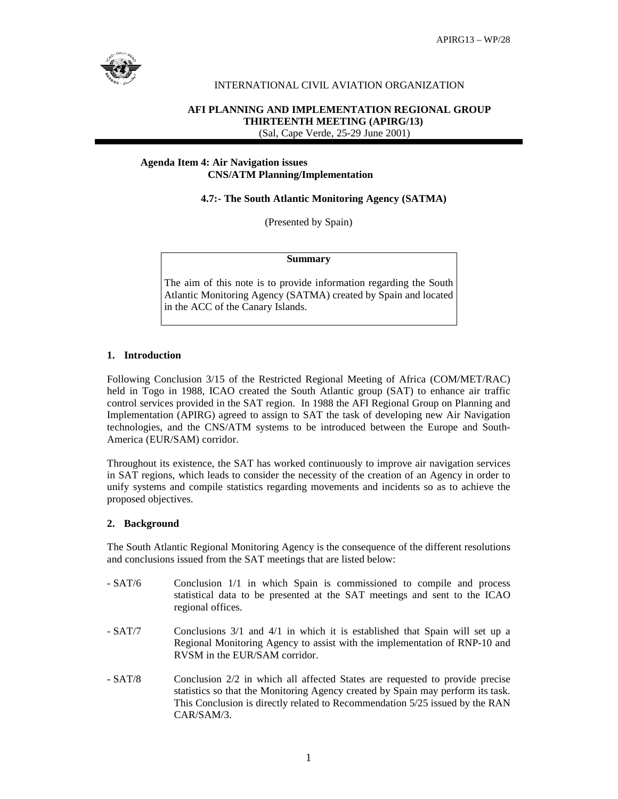

# INTERNATIONAL CIVIL AVIATION ORGANIZATION

# **AFI PLANNING AND IMPLEMENTATION REGIONAL GROUP THIRTEENTH MEETING (APIRG/13)** (Sal, Cape Verde, 25-29 June 2001)

### **Agenda Item 4: Air Navigation issues CNS/ATM Planning/Implementation**

 **4.7:- The South Atlantic Monitoring Agency (SATMA)** 

(Presented by Spain)

#### **Summary**

The aim of this note is to provide information regarding the South Atlantic Monitoring Agency (SATMA) created by Spain and located in the ACC of the Canary Islands.

## **1. Introduction**

Following Conclusion 3/15 of the Restricted Regional Meeting of Africa (COM/MET/RAC) held in Togo in 1988, ICAO created the South Atlantic group (SAT) to enhance air traffic control services provided in the SAT region. In 1988 the AFI Regional Group on Planning and Implementation (APIRG) agreed to assign to SAT the task of developing new Air Navigation technologies, and the CNS/ATM systems to be introduced between the Europe and South-America (EUR/SAM) corridor.

Throughout its existence, the SAT has worked continuously to improve air navigation services in SAT regions, which leads to consider the necessity of the creation of an Agency in order to unify systems and compile statistics regarding movements and incidents so as to achieve the proposed objectives.

# **2. Background**

The South Atlantic Regional Monitoring Agency is the consequence of the different resolutions and conclusions issued from the SAT meetings that are listed below:

- SAT/6 Conclusion 1/1 in which Spain is commissioned to compile and process statistical data to be presented at the SAT meetings and sent to the ICAO regional offices.
- SAT/7 Conclusions 3/1 and 4/1 in which it is established that Spain will set up a Regional Monitoring Agency to assist with the implementation of RNP-10 and RVSM in the EUR/SAM corridor.
- SAT/8 Conclusion 2/2 in which all affected States are requested to provide precise statistics so that the Monitoring Agency created by Spain may perform its task. This Conclusion is directly related to Recommendation 5/25 issued by the RAN CAR/SAM/3.